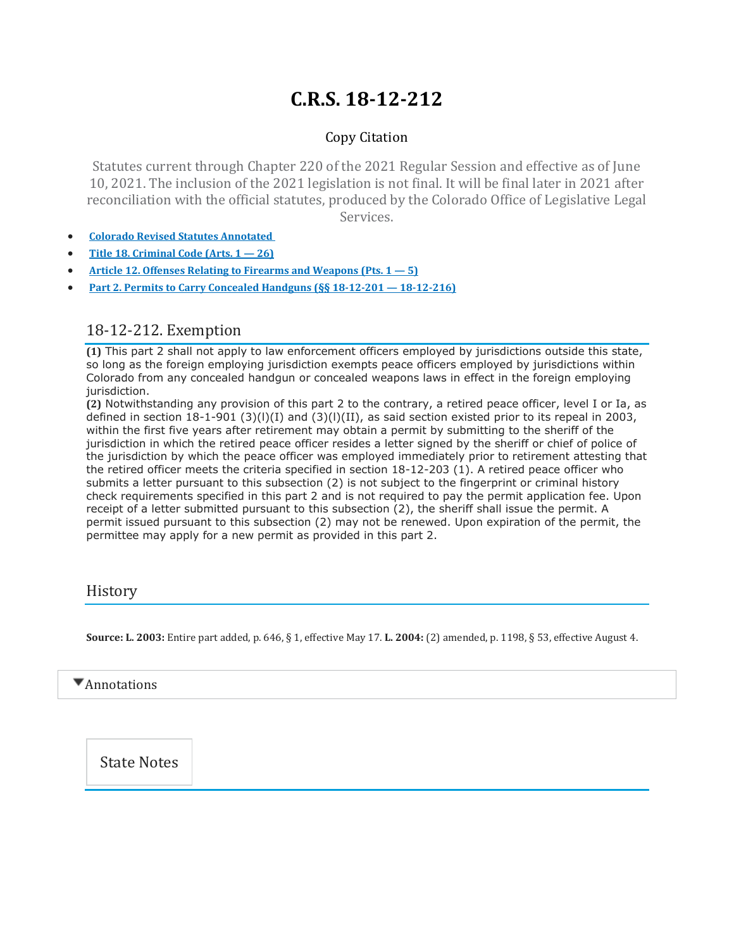# **C.R.S. 18-12-212**

### Copy Citation

Statutes current through Chapter 220 of the 2021 Regular Session and effective as of June 10, 2021. The inclusion of the 2021 legislation is not final. It will be final later in 2021 after reconciliation with the official statutes, produced by the Colorado Office of Legislative Legal Services.

- **Colorado Revised Statutes [Annotated](https://advance.lexis.com/documentpage/?pdmfid=1000516&crid=cf64cf63-e2e0-4ce0-9154-f9cbb9a52ddf&pdistocdocslideraccess=true&config=014FJAAyNGJkY2Y4Zi1mNjgyLTRkN2YtYmE4OS03NTYzNzYzOTg0OGEKAFBvZENhdGFsb2d592qv2Kywlf8caKqYROP5&pddocfullpath=%2Fshared%2Fdocument%2Fstatutes-legislation%2Furn%3AcontentItem%3A61P5-WSW1-DYDC-J3D7-00008-00&pdcomponentid=234177&pdtocnodeidentifier=AASAAWAACAAM&ecomp=sssdkkk&prid=62039d6e-78ce-4c2f-8744-e7b5ee7b5170)**
- **Title 18. [Criminal](https://advance.lexis.com/documentpage/?pdmfid=1000516&crid=cf64cf63-e2e0-4ce0-9154-f9cbb9a52ddf&pdistocdocslideraccess=true&config=014FJAAyNGJkY2Y4Zi1mNjgyLTRkN2YtYmE4OS03NTYzNzYzOTg0OGEKAFBvZENhdGFsb2d592qv2Kywlf8caKqYROP5&pddocfullpath=%2Fshared%2Fdocument%2Fstatutes-legislation%2Furn%3AcontentItem%3A61P5-WSW1-DYDC-J3D7-00008-00&pdcomponentid=234177&pdtocnodeidentifier=AASAAWAACAAM&ecomp=sssdkkk&prid=62039d6e-78ce-4c2f-8744-e7b5ee7b5170) Code (Arts. 1 — 26)**
- **Article 12. Offenses Relating to Firearms and [Weapons](https://advance.lexis.com/documentpage/?pdmfid=1000516&crid=cf64cf63-e2e0-4ce0-9154-f9cbb9a52ddf&pdistocdocslideraccess=true&config=014FJAAyNGJkY2Y4Zi1mNjgyLTRkN2YtYmE4OS03NTYzNzYzOTg0OGEKAFBvZENhdGFsb2d592qv2Kywlf8caKqYROP5&pddocfullpath=%2Fshared%2Fdocument%2Fstatutes-legislation%2Furn%3AcontentItem%3A61P5-WSW1-DYDC-J3D7-00008-00&pdcomponentid=234177&pdtocnodeidentifier=AASAAWAACAAM&ecomp=sssdkkk&prid=62039d6e-78ce-4c2f-8744-e7b5ee7b5170) (Pts. 1 — 5)**
- **Part 2. Permits to Carry Concealed Handguns (§§ 18-12-201 — [18-12-216\)](https://advance.lexis.com/documentpage/?pdmfid=1000516&crid=cf64cf63-e2e0-4ce0-9154-f9cbb9a52ddf&pdistocdocslideraccess=true&config=014FJAAyNGJkY2Y4Zi1mNjgyLTRkN2YtYmE4OS03NTYzNzYzOTg0OGEKAFBvZENhdGFsb2d592qv2Kywlf8caKqYROP5&pddocfullpath=%2Fshared%2Fdocument%2Fstatutes-legislation%2Furn%3AcontentItem%3A61P5-WSW1-DYDC-J3D7-00008-00&pdcomponentid=234177&pdtocnodeidentifier=AASAAWAACAAM&ecomp=sssdkkk&prid=62039d6e-78ce-4c2f-8744-e7b5ee7b5170)**

### 18-12-212. Exemption

**(1)** This part 2 shall not apply to law enforcement officers employed by jurisdictions outside this state, so long as the foreign employing jurisdiction exempts peace officers employed by jurisdictions within Colorado from any concealed handgun or concealed weapons laws in effect in the foreign employing jurisdiction.

**(2)** Notwithstanding any provision of this part 2 to the contrary, a retired peace officer, level I or Ia, as defined in section 18-1-901 (3)(l)(I) and (3)(l)(II), as said section existed prior to its repeal in 2003, within the first five years after retirement may obtain a permit by submitting to the sheriff of the jurisdiction in which the retired peace officer resides a letter signed by the sheriff or chief of police of the jurisdiction by which the peace officer was employed immediately prior to retirement attesting that the retired officer meets the criteria specified in section 18-12-203 (1). A retired peace officer who submits a letter pursuant to this subsection (2) is not subject to the fingerprint or criminal history check requirements specified in this part 2 and is not required to pay the permit application fee. Upon receipt of a letter submitted pursuant to this subsection (2), the sheriff shall issue the permit. A permit issued pursuant to this subsection (2) may not be renewed. Upon expiration of the permit, the permittee may apply for a new permit as provided in this part 2.

### **History**

**Source: L. 2003:** Entire part added, p. 646, § 1, effective May 17. **L. 2004:** (2) amended, p. 1198, § 53, effective August 4.

 $\blacktriangledown$  Annotations

State Notes